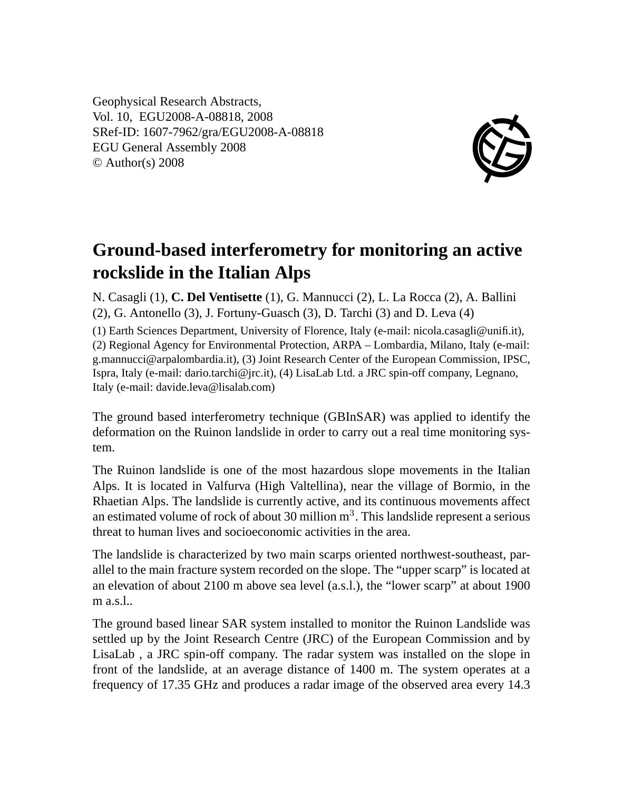Geophysical Research Abstracts, Vol. 10, EGU2008-A-08818, 2008 SRef-ID: 1607-7962/gra/EGU2008-A-08818 EGU General Assembly 2008 © Author(s) 2008



## **Ground-based interferometry for monitoring an active rockslide in the Italian Alps**

N. Casagli (1), **C. Del Ventisette** (1), G. Mannucci (2), L. La Rocca (2), A. Ballini (2), G. Antonello (3), J. Fortuny-Guasch (3), D. Tarchi (3) and D. Leva (4)

(1) Earth Sciences Department, University of Florence, Italy (e-mail: nicola.casagli@unifi.it), (2) Regional Agency for Environmental Protection, ARPA – Lombardia, Milano, Italy (e-mail: g.mannucci@arpalombardia.it), (3) Joint Research Center of the European Commission, IPSC, Ispra, Italy (e-mail: dario.tarchi@jrc.it), (4) LisaLab Ltd. a JRC spin-off company, Legnano, Italy (e-mail: davide.leva@lisalab.com)

The ground based interferometry technique (GBInSAR) was applied to identify the deformation on the Ruinon landslide in order to carry out a real time monitoring system.

The Ruinon landslide is one of the most hazardous slope movements in the Italian Alps. It is located in Valfurva (High Valtellina), near the village of Bormio, in the Rhaetian Alps. The landslide is currently active, and its continuous movements affect an estimated volume of rock of about 30 million  $m<sup>3</sup>$ . This landslide represent a serious threat to human lives and socioeconomic activities in the area.

The landslide is characterized by two main scarps oriented northwest-southeast, parallel to the main fracture system recorded on the slope. The "upper scarp" is located at an elevation of about 2100 m above sea level (a.s.l.), the "lower scarp" at about 1900 m a.s.l..

The ground based linear SAR system installed to monitor the Ruinon Landslide was settled up by the Joint Research Centre (JRC) of the European Commission and by LisaLab , a JRC spin-off company. The radar system was installed on the slope in front of the landslide, at an average distance of 1400 m. The system operates at a frequency of 17.35 GHz and produces a radar image of the observed area every 14.3